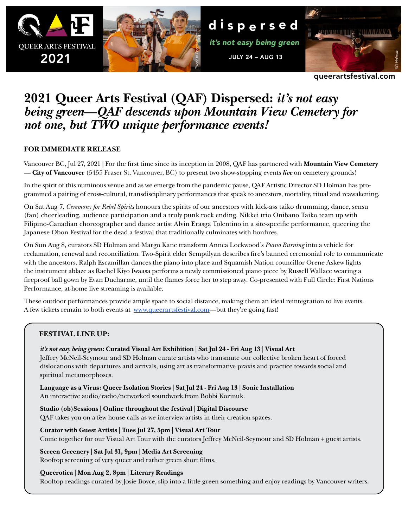

queerartsfestival.com

# **2021 Queer Arts Festival (QAF) Dispersed:** *it's not easy being green***—***QAF descends upon Mountain View Cemetery for not one, but TWO unique performance events!*

# **FOR IMMEDIATE RELEASE**

Vancouver BC, Jul 27, 2021 **|** For the first time since its inception in 2008, QAF has partnered with **Mountain View Cemetery — City of Vancouver** (5455 Fraser St, Vancouver, BC) to present two show-stopping events *live* on cemetery grounds!

In the spirit of this numinous venue and as we emerge from the pandemic pause, QAF Artistic Director SD Holman has programmed a pairing of cross-cultural, transdisciplinary performances that speak to ancestors, mortality, ritual and reawakening.

On Sat Aug 7, *Ceremony for Rebel Spirits* honours the spirits of our ancestors with kick-ass taiko drumming, dance, sensu (fan) cheerleading, audience participation and a truly punk rock ending. Nikkei trio Onibano Taiko team up with Filipino-Canadian choreographer and dance artist Alvin Erasga Tolentino in a site-specific performance, queering the Japanese Obon Festival for the dead a festival that traditionally culminates with bonfires.

On Sun Aug 8, curators SD Holman and Margo Kane transform Annea Lockwood's *Piano Burning* into a vehicle for reclamation, renewal and reconciliation. Two-Spirit elder Sempúlyan describes fire's banned ceremonial role to communicate with the ancestors, Ralph Escamillan dances the piano into place and Squamish Nation councillor Orene Askew lights the instrument ablaze as Rachel Kiyo Iwaasa performs a newly commissioned piano piece by Russell Wallace wearing a fireproof ball gown by Evan Ducharme, until the flames force her to step away. Co-presented with Full Circle: First Nations Performance, at-home live streaming is available.

These outdoor performances provide ample space to social distance, making them an ideal reintegration to live events. A few tickets remain to both events at [www.queerartsfestival.com—](http://www.queerartsfestival.com)but they're going fast!

# **FESTIVAL LINE UP:**

*it's not easy being green***: Curated Visual Art Exhibition | Sat Jul 24 - Fri Aug 13 | Visual Art** Jeffrey McNeil-Seymour and SD Holman curate artists who transmute our collective broken heart of forced dislocations with departures and arrivals, using art as transformative praxis and practice towards social and spiritual metamorphoses.

**Language as a Virus: Queer Isolation Stories | Sat Jul 24 - Fri Aug 13 | Sonic Installation** An interactive audio/radio/networked soundwork from Bobbi Kozinuk.

**Studio (ob)Sessions | Online throughout the festival | Digital Discourse** QAF takes you on a few house calls as we interview artists in their creation spaces.

**Curator with Guest Artists | Tues Jul 27, 5pm | Visual Art Tour** Come together for our Visual Art Tour with the curators Jeffrey McNeil-Seymour and SD Holman + guest artists.

**Screen Greenery | Sat Jul 31, 9pm | Media Art Screening** Rooftop screening of very queer and rather green short films.

**Queerotica | Mon Aug 2, 8pm | Literary Readings**

Rooftop readings curated by Josie Boyce, slip into a little green something and enjoy readings by Vancouver writers.